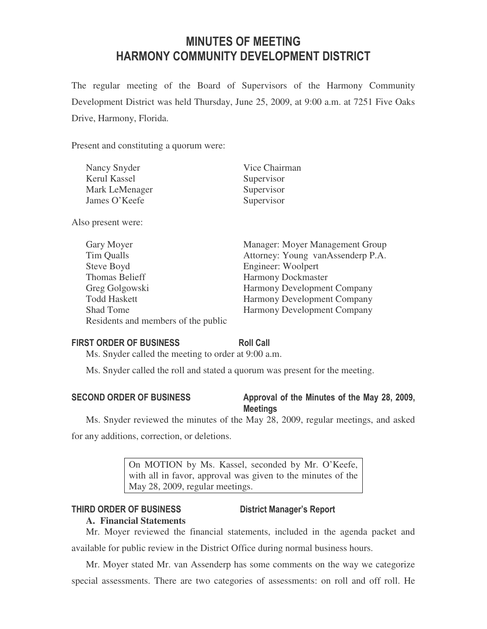# MINUTES OF MEETING HARMONY COMMUNITY DEVELOPMENT DISTRICT

The regular meeting of the Board of Supervisors of the Harmony Community Development District was held Thursday, June 25, 2009, at 9:00 a.m. at 7251 Five Oaks Drive, Harmony, Florida.

Present and constituting a quorum were:

| Nancy Snyder   | Vice Chairman |
|----------------|---------------|
| Kerul Kassel   | Supervisor    |
| Mark LeMenager | Supervisor    |
| James O'Keefe  | Supervisor    |

Also present were:

| Gary Moyer                          | Manager: Moyer Management Group    |
|-------------------------------------|------------------------------------|
| Tim Qualls                          | Attorney: Young vanAssenderp P.A.  |
| Steve Boyd                          | Engineer: Woolpert                 |
| Thomas Belieff                      | <b>Harmony Dockmaster</b>          |
| Greg Golgowski                      | <b>Harmony Development Company</b> |
| <b>Todd Haskett</b>                 | <b>Harmony Development Company</b> |
| <b>Shad Tome</b>                    | <b>Harmony Development Company</b> |
| Residents and members of the public |                                    |

### FIRST ORDER OF BUSINESS Roll Call

Ms. Snyder called the meeting to order at 9:00 a.m.

Ms. Snyder called the roll and stated a quorum was present for the meeting.

## SECOND ORDER OF BUSINESS Approval of the Minutes of the May 28, 2009, **Meetings**

Ms. Snyder reviewed the minutes of the May 28, 2009, regular meetings, and asked for any additions, correction, or deletions.

> On MOTION by Ms. Kassel, seconded by Mr. O'Keefe, with all in favor, approval was given to the minutes of the May 28, 2009, regular meetings.

## THIRD ORDER OF BUSINESS District Manager's Report

## **A. Financial Statements**

Mr. Moyer reviewed the financial statements, included in the agenda packet and available for public review in the District Office during normal business hours.

Mr. Moyer stated Mr. van Assenderp has some comments on the way we categorize special assessments. There are two categories of assessments: on roll and off roll. He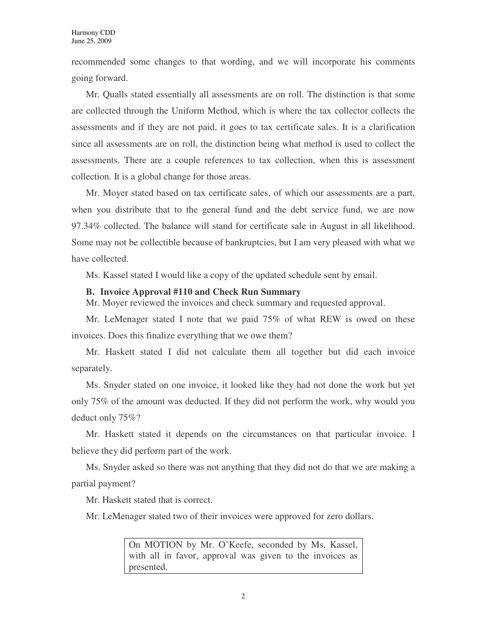recommended some changes to that wording, and we will incorporate his comments going forward.

Mr. Qualls stated essentially all assessments are on roll. The distinction is that some are collected through the Uniform Method, which is where the tax collector collects the assessments and if they are not paid, it goes to tax certificate sales. It is a clarification since all assessments are on roll, the distinction being what method is used to collect the assessments. There are a couple references to tax collection, when this is assessment collection. It is a global change for those areas.

Mr. Moyer stated based on tax certificate sales, of which our assessments are a part, when you distribute that to the general fund and the debt service fund, we are now 97.34% collected. The balance will stand for certificate sale in August in all likelihood. Some may not be collectible because of bankruptcies, but I am very pleased with what we have collected.

Ms. Kassel stated I would like a copy of the updated schedule sent by email.

#### **B. Invoice Approval #110 and Check Run Summary**

Mr. Moyer reviewed the invoices and check summary and requested approval.

Mr. LeMenager stated I note that we paid 75% of what REW is owed on these invoices. Does this finalize everything that we owe them?

Mr. Haskett stated I did not calculate them all together but did each invoice separately.

Ms. Snyder stated on one invoice, it looked like they had not done the work but yet only 75% of the amount was deducted. If they did not perform the work, why would you deduct only 75%?

Mr. Haskett stated it depends on the circumstances on that particular invoice. I believe they did perform part of the work.

Ms. Snyder asked so there was not anything that they did not do that we are making a partial payment?

Mr. Haskett stated that is correct.

Mr. LeMenager stated two of their invoices were approved for zero dollars.

On MOTION by Mr. O'Keefe, seconded by Ms. Kassel, with all in favor, approval was given to the invoices as presented.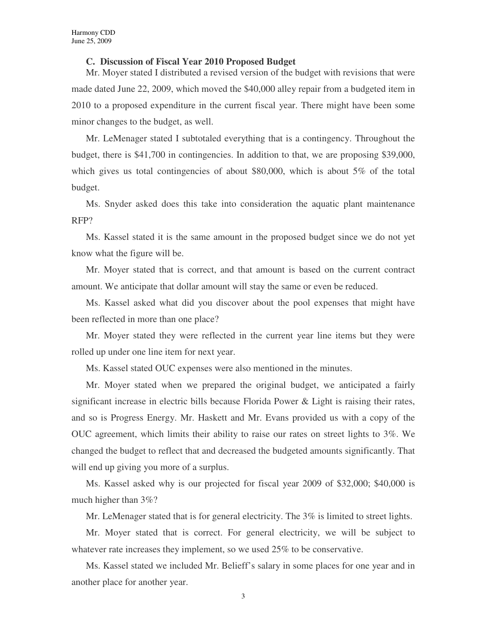#### **C. Discussion of Fiscal Year 2010 Proposed Budget**

Mr. Moyer stated I distributed a revised version of the budget with revisions that were made dated June 22, 2009, which moved the \$40,000 alley repair from a budgeted item in 2010 to a proposed expenditure in the current fiscal year. There might have been some minor changes to the budget, as well.

Mr. LeMenager stated I subtotaled everything that is a contingency. Throughout the budget, there is \$41,700 in contingencies. In addition to that, we are proposing \$39,000, which gives us total contingencies of about \$80,000, which is about 5% of the total budget.

Ms. Snyder asked does this take into consideration the aquatic plant maintenance RFP?

Ms. Kassel stated it is the same amount in the proposed budget since we do not yet know what the figure will be.

Mr. Moyer stated that is correct, and that amount is based on the current contract amount. We anticipate that dollar amount will stay the same or even be reduced.

Ms. Kassel asked what did you discover about the pool expenses that might have been reflected in more than one place?

Mr. Moyer stated they were reflected in the current year line items but they were rolled up under one line item for next year.

Ms. Kassel stated OUC expenses were also mentioned in the minutes.

Mr. Moyer stated when we prepared the original budget, we anticipated a fairly significant increase in electric bills because Florida Power & Light is raising their rates, and so is Progress Energy. Mr. Haskett and Mr. Evans provided us with a copy of the OUC agreement, which limits their ability to raise our rates on street lights to 3%. We changed the budget to reflect that and decreased the budgeted amounts significantly. That will end up giving you more of a surplus.

Ms. Kassel asked why is our projected for fiscal year 2009 of \$32,000; \$40,000 is much higher than 3%?

Mr. LeMenager stated that is for general electricity. The 3% is limited to street lights.

Mr. Moyer stated that is correct. For general electricity, we will be subject to whatever rate increases they implement, so we used 25% to be conservative.

Ms. Kassel stated we included Mr. Belieff's salary in some places for one year and in another place for another year.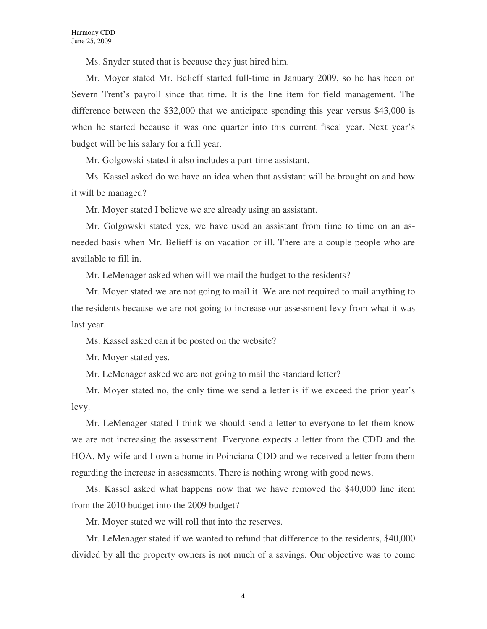Ms. Snyder stated that is because they just hired him.

Mr. Moyer stated Mr. Belieff started full-time in January 2009, so he has been on Severn Trent's payroll since that time. It is the line item for field management. The difference between the \$32,000 that we anticipate spending this year versus \$43,000 is when he started because it was one quarter into this current fiscal year. Next year's budget will be his salary for a full year.

Mr. Golgowski stated it also includes a part-time assistant.

Ms. Kassel asked do we have an idea when that assistant will be brought on and how it will be managed?

Mr. Moyer stated I believe we are already using an assistant.

Mr. Golgowski stated yes, we have used an assistant from time to time on an asneeded basis when Mr. Belieff is on vacation or ill. There are a couple people who are available to fill in.

Mr. LeMenager asked when will we mail the budget to the residents?

Mr. Moyer stated we are not going to mail it. We are not required to mail anything to the residents because we are not going to increase our assessment levy from what it was last year.

Ms. Kassel asked can it be posted on the website?

Mr. Moyer stated yes.

Mr. LeMenager asked we are not going to mail the standard letter?

Mr. Moyer stated no, the only time we send a letter is if we exceed the prior year's levy.

Mr. LeMenager stated I think we should send a letter to everyone to let them know we are not increasing the assessment. Everyone expects a letter from the CDD and the HOA. My wife and I own a home in Poinciana CDD and we received a letter from them regarding the increase in assessments. There is nothing wrong with good news.

Ms. Kassel asked what happens now that we have removed the \$40,000 line item from the 2010 budget into the 2009 budget?

Mr. Moyer stated we will roll that into the reserves.

Mr. LeMenager stated if we wanted to refund that difference to the residents, \$40,000 divided by all the property owners is not much of a savings. Our objective was to come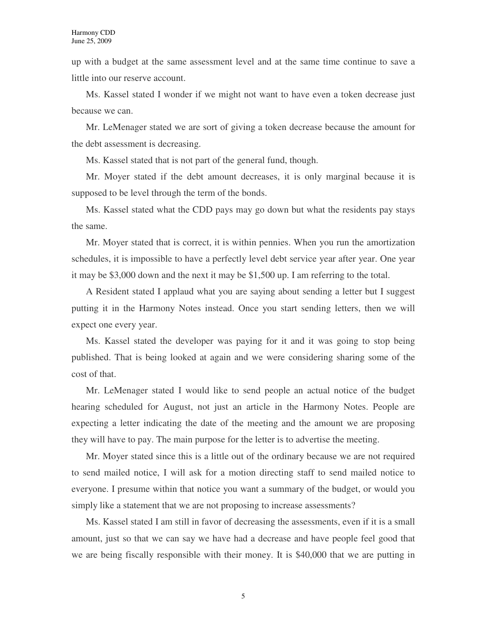up with a budget at the same assessment level and at the same time continue to save a little into our reserve account.

Ms. Kassel stated I wonder if we might not want to have even a token decrease just because we can.

Mr. LeMenager stated we are sort of giving a token decrease because the amount for the debt assessment is decreasing.

Ms. Kassel stated that is not part of the general fund, though.

Mr. Moyer stated if the debt amount decreases, it is only marginal because it is supposed to be level through the term of the bonds.

Ms. Kassel stated what the CDD pays may go down but what the residents pay stays the same.

Mr. Moyer stated that is correct, it is within pennies. When you run the amortization schedules, it is impossible to have a perfectly level debt service year after year. One year it may be \$3,000 down and the next it may be \$1,500 up. I am referring to the total.

A Resident stated I applaud what you are saying about sending a letter but I suggest putting it in the Harmony Notes instead. Once you start sending letters, then we will expect one every year.

Ms. Kassel stated the developer was paying for it and it was going to stop being published. That is being looked at again and we were considering sharing some of the cost of that.

Mr. LeMenager stated I would like to send people an actual notice of the budget hearing scheduled for August, not just an article in the Harmony Notes. People are expecting a letter indicating the date of the meeting and the amount we are proposing they will have to pay. The main purpose for the letter is to advertise the meeting.

Mr. Moyer stated since this is a little out of the ordinary because we are not required to send mailed notice, I will ask for a motion directing staff to send mailed notice to everyone. I presume within that notice you want a summary of the budget, or would you simply like a statement that we are not proposing to increase assessments?

Ms. Kassel stated I am still in favor of decreasing the assessments, even if it is a small amount, just so that we can say we have had a decrease and have people feel good that we are being fiscally responsible with their money. It is \$40,000 that we are putting in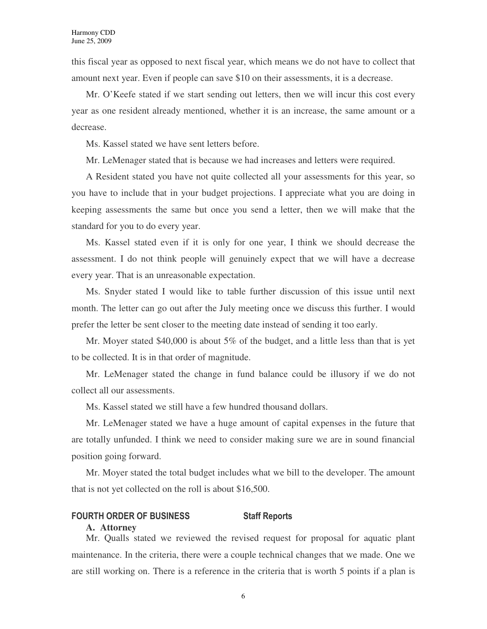this fiscal year as opposed to next fiscal year, which means we do not have to collect that amount next year. Even if people can save \$10 on their assessments, it is a decrease.

Mr. O'Keefe stated if we start sending out letters, then we will incur this cost every year as one resident already mentioned, whether it is an increase, the same amount or a decrease.

Ms. Kassel stated we have sent letters before.

Mr. LeMenager stated that is because we had increases and letters were required.

A Resident stated you have not quite collected all your assessments for this year, so you have to include that in your budget projections. I appreciate what you are doing in keeping assessments the same but once you send a letter, then we will make that the standard for you to do every year.

Ms. Kassel stated even if it is only for one year, I think we should decrease the assessment. I do not think people will genuinely expect that we will have a decrease every year. That is an unreasonable expectation.

Ms. Snyder stated I would like to table further discussion of this issue until next month. The letter can go out after the July meeting once we discuss this further. I would prefer the letter be sent closer to the meeting date instead of sending it too early.

Mr. Moyer stated \$40,000 is about 5% of the budget, and a little less than that is yet to be collected. It is in that order of magnitude.

Mr. LeMenager stated the change in fund balance could be illusory if we do not collect all our assessments.

Ms. Kassel stated we still have a few hundred thousand dollars.

Mr. LeMenager stated we have a huge amount of capital expenses in the future that are totally unfunded. I think we need to consider making sure we are in sound financial position going forward.

Mr. Moyer stated the total budget includes what we bill to the developer. The amount that is not yet collected on the roll is about \$16,500.

#### FOURTH ORDER OF BUSINESS Staff Reports

#### **A. Attorney**

Mr. Qualls stated we reviewed the revised request for proposal for aquatic plant maintenance. In the criteria, there were a couple technical changes that we made. One we are still working on. There is a reference in the criteria that is worth 5 points if a plan is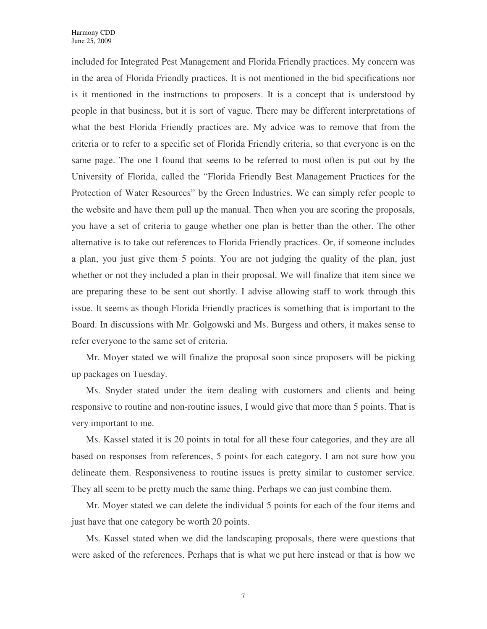included for Integrated Pest Management and Florida Friendly practices. My concern was in the area of Florida Friendly practices. It is not mentioned in the bid specifications nor is it mentioned in the instructions to proposers. It is a concept that is understood by people in that business, but it is sort of vague. There may be different interpretations of what the best Florida Friendly practices are. My advice was to remove that from the criteria or to refer to a specific set of Florida Friendly criteria, so that everyone is on the same page. The one I found that seems to be referred to most often is put out by the University of Florida, called the "Florida Friendly Best Management Practices for the Protection of Water Resources" by the Green Industries. We can simply refer people to the website and have them pull up the manual. Then when you are scoring the proposals, you have a set of criteria to gauge whether one plan is better than the other. The other alternative is to take out references to Florida Friendly practices. Or, if someone includes a plan, you just give them 5 points. You are not judging the quality of the plan, just whether or not they included a plan in their proposal. We will finalize that item since we are preparing these to be sent out shortly. I advise allowing staff to work through this issue. It seems as though Florida Friendly practices is something that is important to the Board. In discussions with Mr. Golgowski and Ms. Burgess and others, it makes sense to refer everyone to the same set of criteria.

Mr. Moyer stated we will finalize the proposal soon since proposers will be picking up packages on Tuesday.

Ms. Snyder stated under the item dealing with customers and clients and being responsive to routine and non-routine issues, I would give that more than 5 points. That is very important to me.

Ms. Kassel stated it is 20 points in total for all these four categories, and they are all based on responses from references, 5 points for each category. I am not sure how you delineate them. Responsiveness to routine issues is pretty similar to customer service. They all seem to be pretty much the same thing. Perhaps we can just combine them.

Mr. Moyer stated we can delete the individual 5 points for each of the four items and just have that one category be worth 20 points.

Ms. Kassel stated when we did the landscaping proposals, there were questions that were asked of the references. Perhaps that is what we put here instead or that is how we

7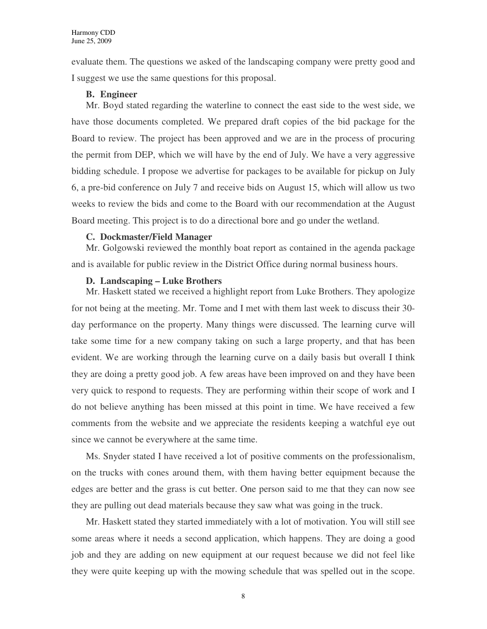evaluate them. The questions we asked of the landscaping company were pretty good and I suggest we use the same questions for this proposal.

#### **B. Engineer**

Mr. Boyd stated regarding the waterline to connect the east side to the west side, we have those documents completed. We prepared draft copies of the bid package for the Board to review. The project has been approved and we are in the process of procuring the permit from DEP, which we will have by the end of July. We have a very aggressive bidding schedule. I propose we advertise for packages to be available for pickup on July 6, a pre-bid conference on July 7 and receive bids on August 15, which will allow us two weeks to review the bids and come to the Board with our recommendation at the August Board meeting. This project is to do a directional bore and go under the wetland.

#### **C. Dockmaster/Field Manager**

Mr. Golgowski reviewed the monthly boat report as contained in the agenda package and is available for public review in the District Office during normal business hours.

### **D. Landscaping – Luke Brothers**

Mr. Haskett stated we received a highlight report from Luke Brothers. They apologize for not being at the meeting. Mr. Tome and I met with them last week to discuss their 30 day performance on the property. Many things were discussed. The learning curve will take some time for a new company taking on such a large property, and that has been evident. We are working through the learning curve on a daily basis but overall I think they are doing a pretty good job. A few areas have been improved on and they have been very quick to respond to requests. They are performing within their scope of work and I do not believe anything has been missed at this point in time. We have received a few comments from the website and we appreciate the residents keeping a watchful eye out since we cannot be everywhere at the same time.

Ms. Snyder stated I have received a lot of positive comments on the professionalism, on the trucks with cones around them, with them having better equipment because the edges are better and the grass is cut better. One person said to me that they can now see they are pulling out dead materials because they saw what was going in the truck.

Mr. Haskett stated they started immediately with a lot of motivation. You will still see some areas where it needs a second application, which happens. They are doing a good job and they are adding on new equipment at our request because we did not feel like they were quite keeping up with the mowing schedule that was spelled out in the scope.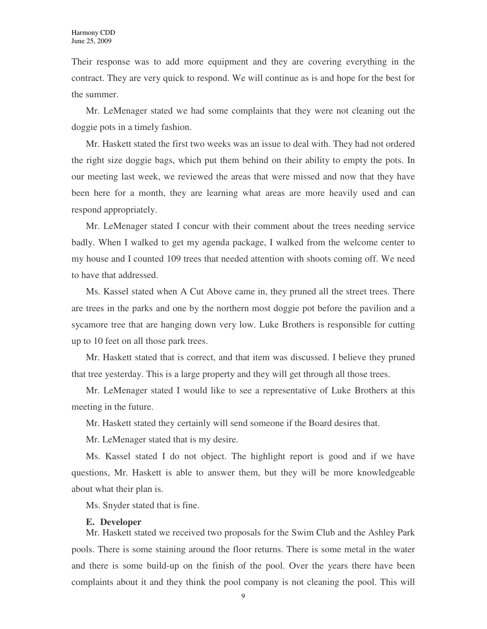Their response was to add more equipment and they are covering everything in the contract. They are very quick to respond. We will continue as is and hope for the best for the summer.

Mr. LeMenager stated we had some complaints that they were not cleaning out the doggie pots in a timely fashion.

Mr. Haskett stated the first two weeks was an issue to deal with. They had not ordered the right size doggie bags, which put them behind on their ability to empty the pots. In our meeting last week, we reviewed the areas that were missed and now that they have been here for a month, they are learning what areas are more heavily used and can respond appropriately.

Mr. LeMenager stated I concur with their comment about the trees needing service badly. When I walked to get my agenda package, I walked from the welcome center to my house and I counted 109 trees that needed attention with shoots coming off. We need to have that addressed.

Ms. Kassel stated when A Cut Above came in, they pruned all the street trees. There are trees in the parks and one by the northern most doggie pot before the pavilion and a sycamore tree that are hanging down very low. Luke Brothers is responsible for cutting up to 10 feet on all those park trees.

Mr. Haskett stated that is correct, and that item was discussed. I believe they pruned that tree yesterday. This is a large property and they will get through all those trees.

Mr. LeMenager stated I would like to see a representative of Luke Brothers at this meeting in the future.

Mr. Haskett stated they certainly will send someone if the Board desires that.

Mr. LeMenager stated that is my desire.

Ms. Kassel stated I do not object. The highlight report is good and if we have questions, Mr. Haskett is able to answer them, but they will be more knowledgeable about what their plan is.

Ms. Snyder stated that is fine.

#### **E. Developer**

Mr. Haskett stated we received two proposals for the Swim Club and the Ashley Park pools. There is some staining around the floor returns. There is some metal in the water and there is some build-up on the finish of the pool. Over the years there have been complaints about it and they think the pool company is not cleaning the pool. This will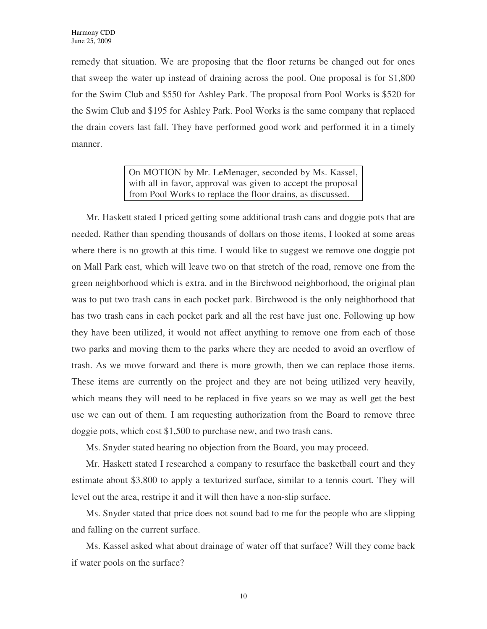remedy that situation. We are proposing that the floor returns be changed out for ones that sweep the water up instead of draining across the pool. One proposal is for \$1,800 for the Swim Club and \$550 for Ashley Park. The proposal from Pool Works is \$520 for the Swim Club and \$195 for Ashley Park. Pool Works is the same company that replaced the drain covers last fall. They have performed good work and performed it in a timely manner.

> On MOTION by Mr. LeMenager, seconded by Ms. Kassel, with all in favor, approval was given to accept the proposal from Pool Works to replace the floor drains, as discussed.

Mr. Haskett stated I priced getting some additional trash cans and doggie pots that are needed. Rather than spending thousands of dollars on those items, I looked at some areas where there is no growth at this time. I would like to suggest we remove one doggie pot on Mall Park east, which will leave two on that stretch of the road, remove one from the green neighborhood which is extra, and in the Birchwood neighborhood, the original plan was to put two trash cans in each pocket park. Birchwood is the only neighborhood that has two trash cans in each pocket park and all the rest have just one. Following up how they have been utilized, it would not affect anything to remove one from each of those two parks and moving them to the parks where they are needed to avoid an overflow of trash. As we move forward and there is more growth, then we can replace those items. These items are currently on the project and they are not being utilized very heavily, which means they will need to be replaced in five years so we may as well get the best use we can out of them. I am requesting authorization from the Board to remove three doggie pots, which cost \$1,500 to purchase new, and two trash cans.

Ms. Snyder stated hearing no objection from the Board, you may proceed.

Mr. Haskett stated I researched a company to resurface the basketball court and they estimate about \$3,800 to apply a texturized surface, similar to a tennis court. They will level out the area, restripe it and it will then have a non-slip surface.

Ms. Snyder stated that price does not sound bad to me for the people who are slipping and falling on the current surface.

Ms. Kassel asked what about drainage of water off that surface? Will they come back if water pools on the surface?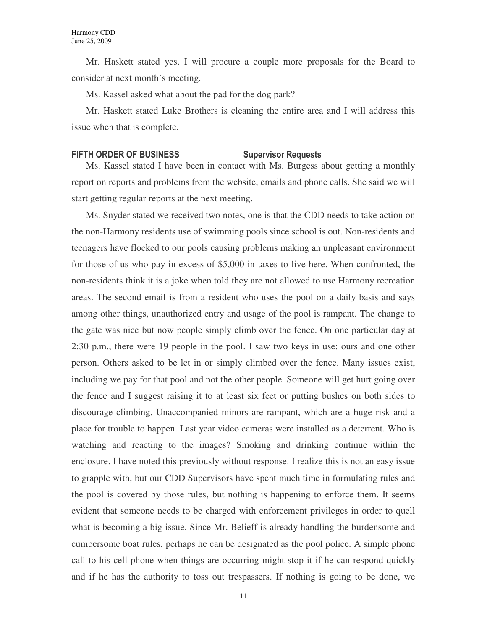Mr. Haskett stated yes. I will procure a couple more proposals for the Board to consider at next month's meeting.

Ms. Kassel asked what about the pad for the dog park?

Mr. Haskett stated Luke Brothers is cleaning the entire area and I will address this issue when that is complete.

#### FIFTH ORDER OF BUSINESS Supervisor Requests

Ms. Kassel stated I have been in contact with Ms. Burgess about getting a monthly report on reports and problems from the website, emails and phone calls. She said we will start getting regular reports at the next meeting.

Ms. Snyder stated we received two notes, one is that the CDD needs to take action on the non-Harmony residents use of swimming pools since school is out. Non-residents and teenagers have flocked to our pools causing problems making an unpleasant environment for those of us who pay in excess of \$5,000 in taxes to live here. When confronted, the non-residents think it is a joke when told they are not allowed to use Harmony recreation areas. The second email is from a resident who uses the pool on a daily basis and says among other things, unauthorized entry and usage of the pool is rampant. The change to the gate was nice but now people simply climb over the fence. On one particular day at 2:30 p.m., there were 19 people in the pool. I saw two keys in use: ours and one other person. Others asked to be let in or simply climbed over the fence. Many issues exist, including we pay for that pool and not the other people. Someone will get hurt going over the fence and I suggest raising it to at least six feet or putting bushes on both sides to discourage climbing. Unaccompanied minors are rampant, which are a huge risk and a place for trouble to happen. Last year video cameras were installed as a deterrent. Who is watching and reacting to the images? Smoking and drinking continue within the enclosure. I have noted this previously without response. I realize this is not an easy issue to grapple with, but our CDD Supervisors have spent much time in formulating rules and the pool is covered by those rules, but nothing is happening to enforce them. It seems evident that someone needs to be charged with enforcement privileges in order to quell what is becoming a big issue. Since Mr. Belieff is already handling the burdensome and cumbersome boat rules, perhaps he can be designated as the pool police. A simple phone call to his cell phone when things are occurring might stop it if he can respond quickly and if he has the authority to toss out trespassers. If nothing is going to be done, we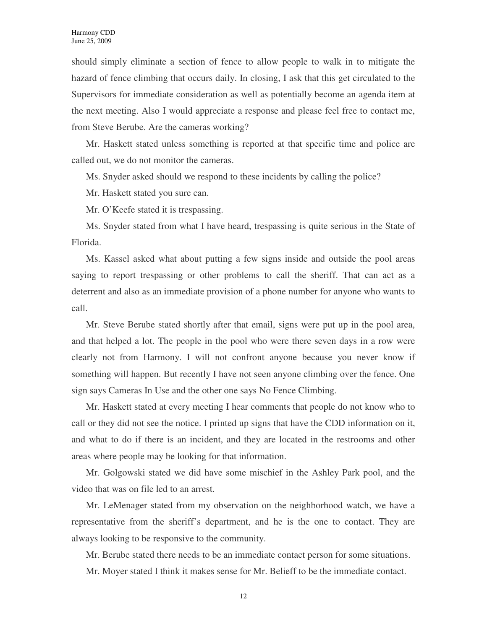should simply eliminate a section of fence to allow people to walk in to mitigate the hazard of fence climbing that occurs daily. In closing, I ask that this get circulated to the Supervisors for immediate consideration as well as potentially become an agenda item at the next meeting. Also I would appreciate a response and please feel free to contact me, from Steve Berube. Are the cameras working?

Mr. Haskett stated unless something is reported at that specific time and police are called out, we do not monitor the cameras.

Ms. Snyder asked should we respond to these incidents by calling the police?

Mr. Haskett stated you sure can.

Mr. O'Keefe stated it is trespassing.

Ms. Snyder stated from what I have heard, trespassing is quite serious in the State of Florida.

Ms. Kassel asked what about putting a few signs inside and outside the pool areas saying to report trespassing or other problems to call the sheriff. That can act as a deterrent and also as an immediate provision of a phone number for anyone who wants to call.

Mr. Steve Berube stated shortly after that email, signs were put up in the pool area, and that helped a lot. The people in the pool who were there seven days in a row were clearly not from Harmony. I will not confront anyone because you never know if something will happen. But recently I have not seen anyone climbing over the fence. One sign says Cameras In Use and the other one says No Fence Climbing.

Mr. Haskett stated at every meeting I hear comments that people do not know who to call or they did not see the notice. I printed up signs that have the CDD information on it, and what to do if there is an incident, and they are located in the restrooms and other areas where people may be looking for that information.

Mr. Golgowski stated we did have some mischief in the Ashley Park pool, and the video that was on file led to an arrest.

Mr. LeMenager stated from my observation on the neighborhood watch, we have a representative from the sheriff's department, and he is the one to contact. They are always looking to be responsive to the community.

Mr. Berube stated there needs to be an immediate contact person for some situations.

Mr. Moyer stated I think it makes sense for Mr. Belieff to be the immediate contact.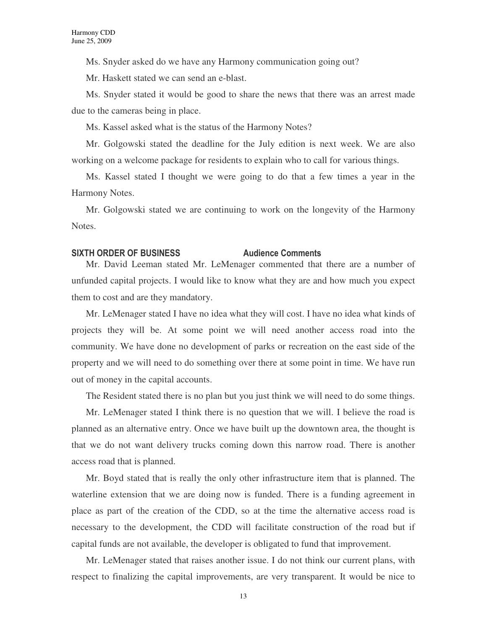Ms. Snyder asked do we have any Harmony communication going out?

Mr. Haskett stated we can send an e-blast.

Ms. Snyder stated it would be good to share the news that there was an arrest made due to the cameras being in place.

Ms. Kassel asked what is the status of the Harmony Notes?

Mr. Golgowski stated the deadline for the July edition is next week. We are also working on a welcome package for residents to explain who to call for various things.

Ms. Kassel stated I thought we were going to do that a few times a year in the Harmony Notes.

Mr. Golgowski stated we are continuing to work on the longevity of the Harmony Notes.

### SIXTH ORDER OF BUSINESS Audience Comments

Mr. David Leeman stated Mr. LeMenager commented that there are a number of unfunded capital projects. I would like to know what they are and how much you expect them to cost and are they mandatory.

Mr. LeMenager stated I have no idea what they will cost. I have no idea what kinds of projects they will be. At some point we will need another access road into the community. We have done no development of parks or recreation on the east side of the property and we will need to do something over there at some point in time. We have run out of money in the capital accounts.

The Resident stated there is no plan but you just think we will need to do some things.

Mr. LeMenager stated I think there is no question that we will. I believe the road is planned as an alternative entry. Once we have built up the downtown area, the thought is that we do not want delivery trucks coming down this narrow road. There is another access road that is planned.

Mr. Boyd stated that is really the only other infrastructure item that is planned. The waterline extension that we are doing now is funded. There is a funding agreement in place as part of the creation of the CDD, so at the time the alternative access road is necessary to the development, the CDD will facilitate construction of the road but if capital funds are not available, the developer is obligated to fund that improvement.

Mr. LeMenager stated that raises another issue. I do not think our current plans, with respect to finalizing the capital improvements, are very transparent. It would be nice to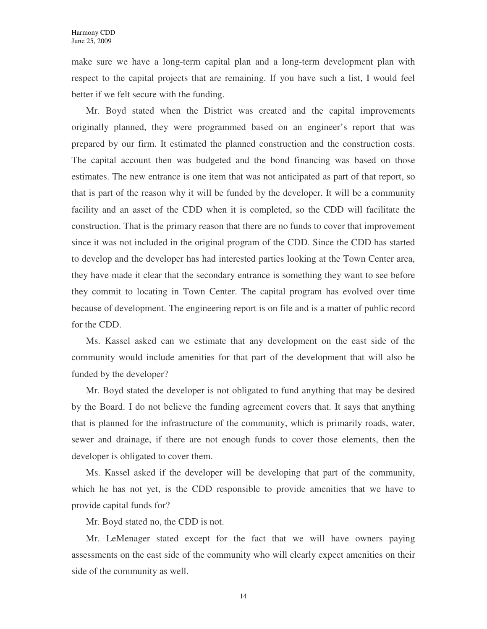make sure we have a long-term capital plan and a long-term development plan with respect to the capital projects that are remaining. If you have such a list, I would feel better if we felt secure with the funding.

Mr. Boyd stated when the District was created and the capital improvements originally planned, they were programmed based on an engineer's report that was prepared by our firm. It estimated the planned construction and the construction costs. The capital account then was budgeted and the bond financing was based on those estimates. The new entrance is one item that was not anticipated as part of that report, so that is part of the reason why it will be funded by the developer. It will be a community facility and an asset of the CDD when it is completed, so the CDD will facilitate the construction. That is the primary reason that there are no funds to cover that improvement since it was not included in the original program of the CDD. Since the CDD has started to develop and the developer has had interested parties looking at the Town Center area, they have made it clear that the secondary entrance is something they want to see before they commit to locating in Town Center. The capital program has evolved over time because of development. The engineering report is on file and is a matter of public record for the CDD.

Ms. Kassel asked can we estimate that any development on the east side of the community would include amenities for that part of the development that will also be funded by the developer?

Mr. Boyd stated the developer is not obligated to fund anything that may be desired by the Board. I do not believe the funding agreement covers that. It says that anything that is planned for the infrastructure of the community, which is primarily roads, water, sewer and drainage, if there are not enough funds to cover those elements, then the developer is obligated to cover them.

Ms. Kassel asked if the developer will be developing that part of the community, which he has not yet, is the CDD responsible to provide amenities that we have to provide capital funds for?

Mr. Boyd stated no, the CDD is not.

Mr. LeMenager stated except for the fact that we will have owners paying assessments on the east side of the community who will clearly expect amenities on their side of the community as well.

14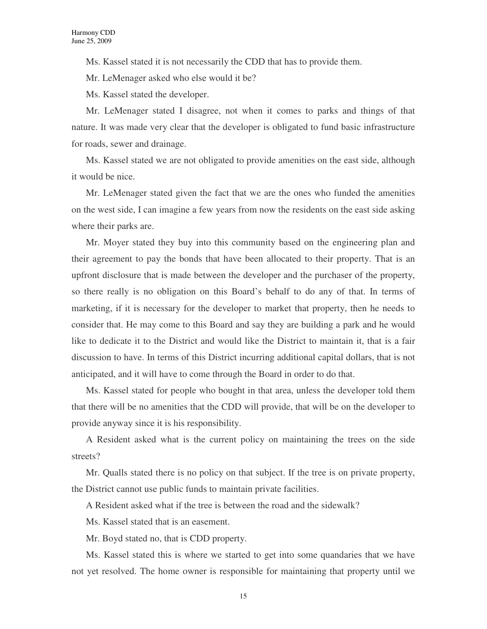Ms. Kassel stated it is not necessarily the CDD that has to provide them.

Mr. LeMenager asked who else would it be?

Ms. Kassel stated the developer.

Mr. LeMenager stated I disagree, not when it comes to parks and things of that nature. It was made very clear that the developer is obligated to fund basic infrastructure for roads, sewer and drainage.

Ms. Kassel stated we are not obligated to provide amenities on the east side, although it would be nice.

Mr. LeMenager stated given the fact that we are the ones who funded the amenities on the west side, I can imagine a few years from now the residents on the east side asking where their parks are.

Mr. Moyer stated they buy into this community based on the engineering plan and their agreement to pay the bonds that have been allocated to their property. That is an upfront disclosure that is made between the developer and the purchaser of the property, so there really is no obligation on this Board's behalf to do any of that. In terms of marketing, if it is necessary for the developer to market that property, then he needs to consider that. He may come to this Board and say they are building a park and he would like to dedicate it to the District and would like the District to maintain it, that is a fair discussion to have. In terms of this District incurring additional capital dollars, that is not anticipated, and it will have to come through the Board in order to do that.

Ms. Kassel stated for people who bought in that area, unless the developer told them that there will be no amenities that the CDD will provide, that will be on the developer to provide anyway since it is his responsibility.

A Resident asked what is the current policy on maintaining the trees on the side streets?

Mr. Qualls stated there is no policy on that subject. If the tree is on private property, the District cannot use public funds to maintain private facilities.

A Resident asked what if the tree is between the road and the sidewalk?

Ms. Kassel stated that is an easement.

Mr. Boyd stated no, that is CDD property.

Ms. Kassel stated this is where we started to get into some quandaries that we have not yet resolved. The home owner is responsible for maintaining that property until we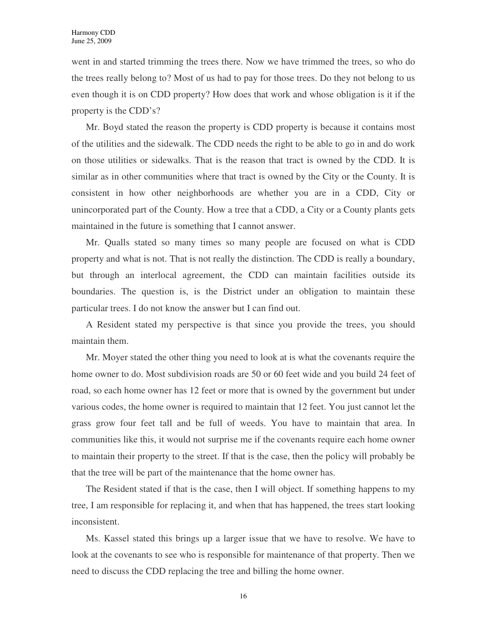went in and started trimming the trees there. Now we have trimmed the trees, so who do the trees really belong to? Most of us had to pay for those trees. Do they not belong to us even though it is on CDD property? How does that work and whose obligation is it if the property is the CDD's?

Mr. Boyd stated the reason the property is CDD property is because it contains most of the utilities and the sidewalk. The CDD needs the right to be able to go in and do work on those utilities or sidewalks. That is the reason that tract is owned by the CDD. It is similar as in other communities where that tract is owned by the City or the County. It is consistent in how other neighborhoods are whether you are in a CDD, City or unincorporated part of the County. How a tree that a CDD, a City or a County plants gets maintained in the future is something that I cannot answer.

Mr. Qualls stated so many times so many people are focused on what is CDD property and what is not. That is not really the distinction. The CDD is really a boundary, but through an interlocal agreement, the CDD can maintain facilities outside its boundaries. The question is, is the District under an obligation to maintain these particular trees. I do not know the answer but I can find out.

A Resident stated my perspective is that since you provide the trees, you should maintain them.

Mr. Moyer stated the other thing you need to look at is what the covenants require the home owner to do. Most subdivision roads are 50 or 60 feet wide and you build 24 feet of road, so each home owner has 12 feet or more that is owned by the government but under various codes, the home owner is required to maintain that 12 feet. You just cannot let the grass grow four feet tall and be full of weeds. You have to maintain that area. In communities like this, it would not surprise me if the covenants require each home owner to maintain their property to the street. If that is the case, then the policy will probably be that the tree will be part of the maintenance that the home owner has.

The Resident stated if that is the case, then I will object. If something happens to my tree, I am responsible for replacing it, and when that has happened, the trees start looking inconsistent.

Ms. Kassel stated this brings up a larger issue that we have to resolve. We have to look at the covenants to see who is responsible for maintenance of that property. Then we need to discuss the CDD replacing the tree and billing the home owner.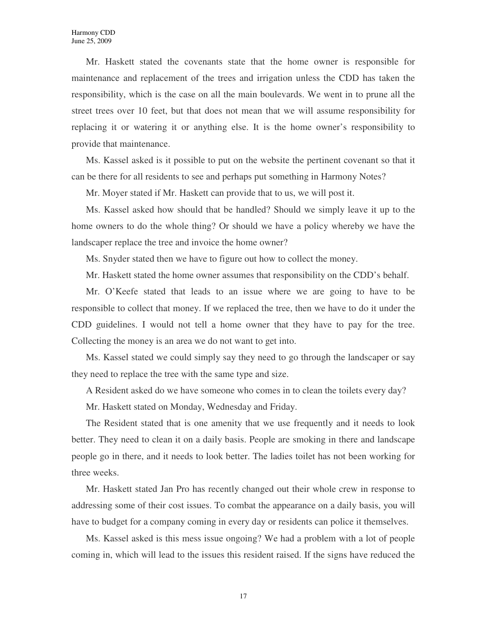Mr. Haskett stated the covenants state that the home owner is responsible for maintenance and replacement of the trees and irrigation unless the CDD has taken the responsibility, which is the case on all the main boulevards. We went in to prune all the street trees over 10 feet, but that does not mean that we will assume responsibility for replacing it or watering it or anything else. It is the home owner's responsibility to provide that maintenance.

Ms. Kassel asked is it possible to put on the website the pertinent covenant so that it can be there for all residents to see and perhaps put something in Harmony Notes?

Mr. Moyer stated if Mr. Haskett can provide that to us, we will post it.

Ms. Kassel asked how should that be handled? Should we simply leave it up to the home owners to do the whole thing? Or should we have a policy whereby we have the landscaper replace the tree and invoice the home owner?

Ms. Snyder stated then we have to figure out how to collect the money.

Mr. Haskett stated the home owner assumes that responsibility on the CDD's behalf.

Mr. O'Keefe stated that leads to an issue where we are going to have to be responsible to collect that money. If we replaced the tree, then we have to do it under the CDD guidelines. I would not tell a home owner that they have to pay for the tree. Collecting the money is an area we do not want to get into.

Ms. Kassel stated we could simply say they need to go through the landscaper or say they need to replace the tree with the same type and size.

A Resident asked do we have someone who comes in to clean the toilets every day?

Mr. Haskett stated on Monday, Wednesday and Friday.

The Resident stated that is one amenity that we use frequently and it needs to look better. They need to clean it on a daily basis. People are smoking in there and landscape people go in there, and it needs to look better. The ladies toilet has not been working for three weeks.

Mr. Haskett stated Jan Pro has recently changed out their whole crew in response to addressing some of their cost issues. To combat the appearance on a daily basis, you will have to budget for a company coming in every day or residents can police it themselves.

Ms. Kassel asked is this mess issue ongoing? We had a problem with a lot of people coming in, which will lead to the issues this resident raised. If the signs have reduced the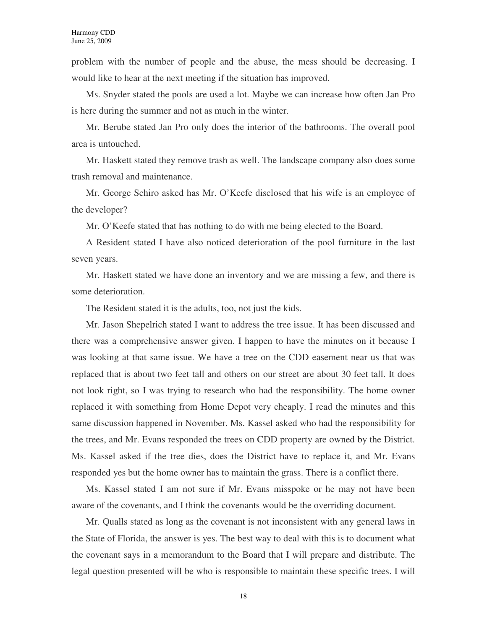problem with the number of people and the abuse, the mess should be decreasing. I would like to hear at the next meeting if the situation has improved.

Ms. Snyder stated the pools are used a lot. Maybe we can increase how often Jan Pro is here during the summer and not as much in the winter.

Mr. Berube stated Jan Pro only does the interior of the bathrooms. The overall pool area is untouched.

Mr. Haskett stated they remove trash as well. The landscape company also does some trash removal and maintenance.

Mr. George Schiro asked has Mr. O'Keefe disclosed that his wife is an employee of the developer?

Mr. O'Keefe stated that has nothing to do with me being elected to the Board.

A Resident stated I have also noticed deterioration of the pool furniture in the last seven years.

Mr. Haskett stated we have done an inventory and we are missing a few, and there is some deterioration.

The Resident stated it is the adults, too, not just the kids.

Mr. Jason Shepelrich stated I want to address the tree issue. It has been discussed and there was a comprehensive answer given. I happen to have the minutes on it because I was looking at that same issue. We have a tree on the CDD easement near us that was replaced that is about two feet tall and others on our street are about 30 feet tall. It does not look right, so I was trying to research who had the responsibility. The home owner replaced it with something from Home Depot very cheaply. I read the minutes and this same discussion happened in November. Ms. Kassel asked who had the responsibility for the trees, and Mr. Evans responded the trees on CDD property are owned by the District. Ms. Kassel asked if the tree dies, does the District have to replace it, and Mr. Evans responded yes but the home owner has to maintain the grass. There is a conflict there.

Ms. Kassel stated I am not sure if Mr. Evans misspoke or he may not have been aware of the covenants, and I think the covenants would be the overriding document.

Mr. Qualls stated as long as the covenant is not inconsistent with any general laws in the State of Florida, the answer is yes. The best way to deal with this is to document what the covenant says in a memorandum to the Board that I will prepare and distribute. The legal question presented will be who is responsible to maintain these specific trees. I will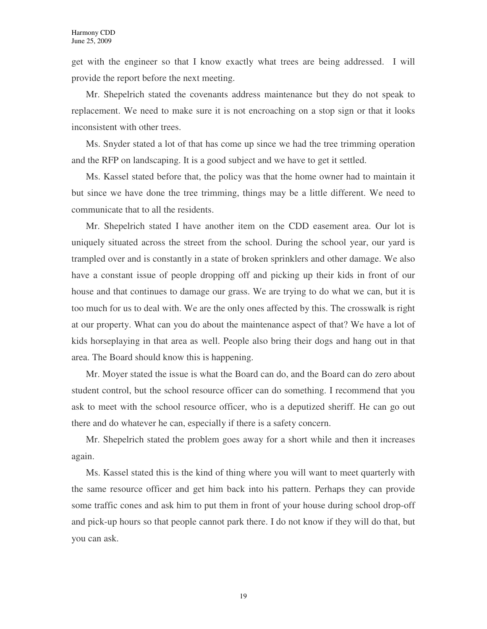get with the engineer so that I know exactly what trees are being addressed. I will provide the report before the next meeting.

Mr. Shepelrich stated the covenants address maintenance but they do not speak to replacement. We need to make sure it is not encroaching on a stop sign or that it looks inconsistent with other trees.

Ms. Snyder stated a lot of that has come up since we had the tree trimming operation and the RFP on landscaping. It is a good subject and we have to get it settled.

Ms. Kassel stated before that, the policy was that the home owner had to maintain it but since we have done the tree trimming, things may be a little different. We need to communicate that to all the residents.

Mr. Shepelrich stated I have another item on the CDD easement area. Our lot is uniquely situated across the street from the school. During the school year, our yard is trampled over and is constantly in a state of broken sprinklers and other damage. We also have a constant issue of people dropping off and picking up their kids in front of our house and that continues to damage our grass. We are trying to do what we can, but it is too much for us to deal with. We are the only ones affected by this. The crosswalk is right at our property. What can you do about the maintenance aspect of that? We have a lot of kids horseplaying in that area as well. People also bring their dogs and hang out in that area. The Board should know this is happening.

Mr. Moyer stated the issue is what the Board can do, and the Board can do zero about student control, but the school resource officer can do something. I recommend that you ask to meet with the school resource officer, who is a deputized sheriff. He can go out there and do whatever he can, especially if there is a safety concern.

Mr. Shepelrich stated the problem goes away for a short while and then it increases again.

Ms. Kassel stated this is the kind of thing where you will want to meet quarterly with the same resource officer and get him back into his pattern. Perhaps they can provide some traffic cones and ask him to put them in front of your house during school drop-off and pick-up hours so that people cannot park there. I do not know if they will do that, but you can ask.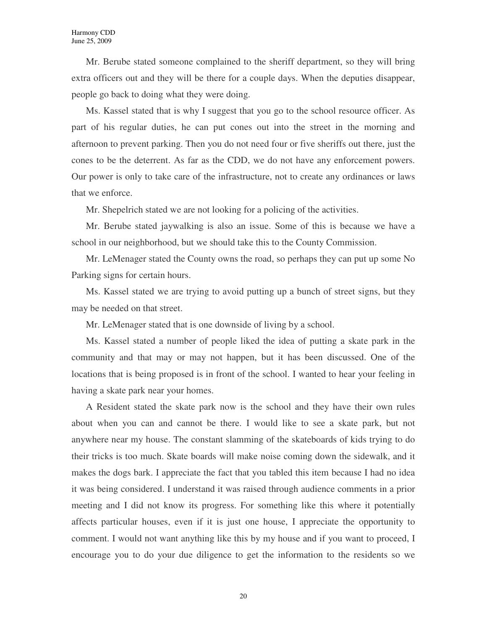Mr. Berube stated someone complained to the sheriff department, so they will bring extra officers out and they will be there for a couple days. When the deputies disappear, people go back to doing what they were doing.

Ms. Kassel stated that is why I suggest that you go to the school resource officer. As part of his regular duties, he can put cones out into the street in the morning and afternoon to prevent parking. Then you do not need four or five sheriffs out there, just the cones to be the deterrent. As far as the CDD, we do not have any enforcement powers. Our power is only to take care of the infrastructure, not to create any ordinances or laws that we enforce.

Mr. Shepelrich stated we are not looking for a policing of the activities.

Mr. Berube stated jaywalking is also an issue. Some of this is because we have a school in our neighborhood, but we should take this to the County Commission.

Mr. LeMenager stated the County owns the road, so perhaps they can put up some No Parking signs for certain hours.

Ms. Kassel stated we are trying to avoid putting up a bunch of street signs, but they may be needed on that street.

Mr. LeMenager stated that is one downside of living by a school.

Ms. Kassel stated a number of people liked the idea of putting a skate park in the community and that may or may not happen, but it has been discussed. One of the locations that is being proposed is in front of the school. I wanted to hear your feeling in having a skate park near your homes.

A Resident stated the skate park now is the school and they have their own rules about when you can and cannot be there. I would like to see a skate park, but not anywhere near my house. The constant slamming of the skateboards of kids trying to do their tricks is too much. Skate boards will make noise coming down the sidewalk, and it makes the dogs bark. I appreciate the fact that you tabled this item because I had no idea it was being considered. I understand it was raised through audience comments in a prior meeting and I did not know its progress. For something like this where it potentially affects particular houses, even if it is just one house, I appreciate the opportunity to comment. I would not want anything like this by my house and if you want to proceed, I encourage you to do your due diligence to get the information to the residents so we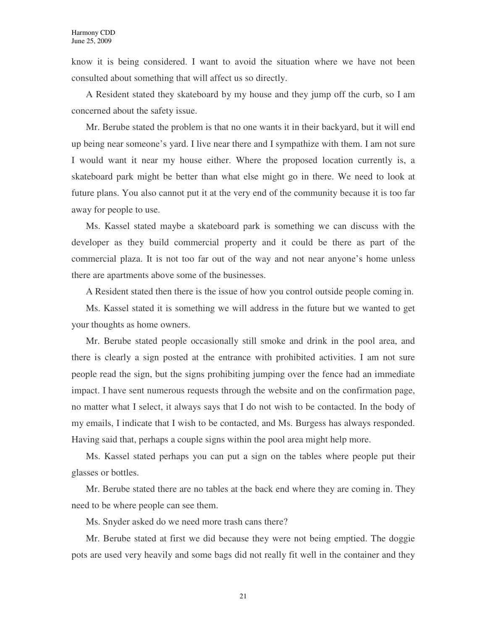know it is being considered. I want to avoid the situation where we have not been consulted about something that will affect us so directly.

A Resident stated they skateboard by my house and they jump off the curb, so I am concerned about the safety issue.

Mr. Berube stated the problem is that no one wants it in their backyard, but it will end up being near someone's yard. I live near there and I sympathize with them. I am not sure I would want it near my house either. Where the proposed location currently is, a skateboard park might be better than what else might go in there. We need to look at future plans. You also cannot put it at the very end of the community because it is too far away for people to use.

Ms. Kassel stated maybe a skateboard park is something we can discuss with the developer as they build commercial property and it could be there as part of the commercial plaza. It is not too far out of the way and not near anyone's home unless there are apartments above some of the businesses.

A Resident stated then there is the issue of how you control outside people coming in.

Ms. Kassel stated it is something we will address in the future but we wanted to get your thoughts as home owners.

Mr. Berube stated people occasionally still smoke and drink in the pool area, and there is clearly a sign posted at the entrance with prohibited activities. I am not sure people read the sign, but the signs prohibiting jumping over the fence had an immediate impact. I have sent numerous requests through the website and on the confirmation page, no matter what I select, it always says that I do not wish to be contacted. In the body of my emails, I indicate that I wish to be contacted, and Ms. Burgess has always responded. Having said that, perhaps a couple signs within the pool area might help more.

Ms. Kassel stated perhaps you can put a sign on the tables where people put their glasses or bottles.

Mr. Berube stated there are no tables at the back end where they are coming in. They need to be where people can see them.

Ms. Snyder asked do we need more trash cans there?

Mr. Berube stated at first we did because they were not being emptied. The doggie pots are used very heavily and some bags did not really fit well in the container and they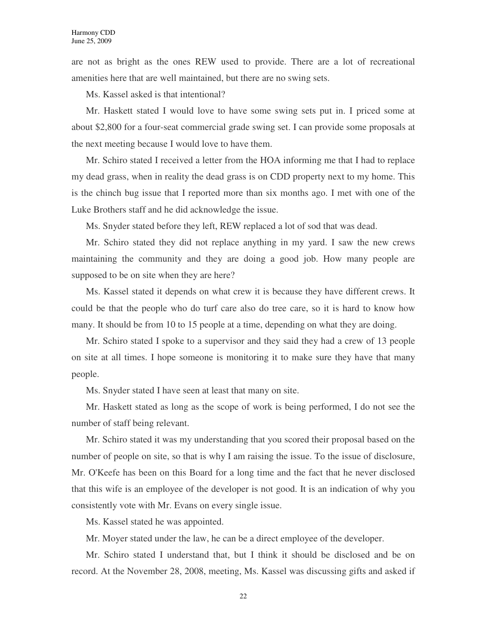are not as bright as the ones REW used to provide. There are a lot of recreational amenities here that are well maintained, but there are no swing sets.

Ms. Kassel asked is that intentional?

Mr. Haskett stated I would love to have some swing sets put in. I priced some at about \$2,800 for a four-seat commercial grade swing set. I can provide some proposals at the next meeting because I would love to have them.

Mr. Schiro stated I received a letter from the HOA informing me that I had to replace my dead grass, when in reality the dead grass is on CDD property next to my home. This is the chinch bug issue that I reported more than six months ago. I met with one of the Luke Brothers staff and he did acknowledge the issue.

Ms. Snyder stated before they left, REW replaced a lot of sod that was dead.

Mr. Schiro stated they did not replace anything in my yard. I saw the new crews maintaining the community and they are doing a good job. How many people are supposed to be on site when they are here?

Ms. Kassel stated it depends on what crew it is because they have different crews. It could be that the people who do turf care also do tree care, so it is hard to know how many. It should be from 10 to 15 people at a time, depending on what they are doing.

Mr. Schiro stated I spoke to a supervisor and they said they had a crew of 13 people on site at all times. I hope someone is monitoring it to make sure they have that many people.

Ms. Snyder stated I have seen at least that many on site.

Mr. Haskett stated as long as the scope of work is being performed, I do not see the number of staff being relevant.

Mr. Schiro stated it was my understanding that you scored their proposal based on the number of people on site, so that is why I am raising the issue. To the issue of disclosure, Mr. O'Keefe has been on this Board for a long time and the fact that he never disclosed that this wife is an employee of the developer is not good. It is an indication of why you consistently vote with Mr. Evans on every single issue.

Ms. Kassel stated he was appointed.

Mr. Moyer stated under the law, he can be a direct employee of the developer.

Mr. Schiro stated I understand that, but I think it should be disclosed and be on record. At the November 28, 2008, meeting, Ms. Kassel was discussing gifts and asked if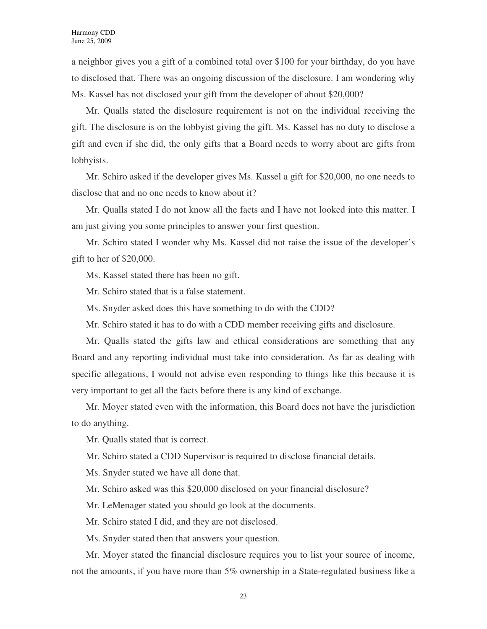a neighbor gives you a gift of a combined total over \$100 for your birthday, do you have to disclosed that. There was an ongoing discussion of the disclosure. I am wondering why Ms. Kassel has not disclosed your gift from the developer of about \$20,000?

Mr. Qualls stated the disclosure requirement is not on the individual receiving the gift. The disclosure is on the lobbyist giving the gift. Ms. Kassel has no duty to disclose a gift and even if she did, the only gifts that a Board needs to worry about are gifts from lobbyists.

Mr. Schiro asked if the developer gives Ms. Kassel a gift for \$20,000, no one needs to disclose that and no one needs to know about it?

Mr. Qualls stated I do not know all the facts and I have not looked into this matter. I am just giving you some principles to answer your first question.

Mr. Schiro stated I wonder why Ms. Kassel did not raise the issue of the developer's gift to her of \$20,000.

Ms. Kassel stated there has been no gift.

Mr. Schiro stated that is a false statement.

Ms. Snyder asked does this have something to do with the CDD?

Mr. Schiro stated it has to do with a CDD member receiving gifts and disclosure.

Mr. Qualls stated the gifts law and ethical considerations are something that any Board and any reporting individual must take into consideration. As far as dealing with specific allegations, I would not advise even responding to things like this because it is very important to get all the facts before there is any kind of exchange.

Mr. Moyer stated even with the information, this Board does not have the jurisdiction to do anything.

Mr. Qualls stated that is correct.

Mr. Schiro stated a CDD Supervisor is required to disclose financial details.

Ms. Snyder stated we have all done that.

Mr. Schiro asked was this \$20,000 disclosed on your financial disclosure?

Mr. LeMenager stated you should go look at the documents.

Mr. Schiro stated I did, and they are not disclosed.

Ms. Snyder stated then that answers your question.

Mr. Moyer stated the financial disclosure requires you to list your source of income, not the amounts, if you have more than 5% ownership in a State-regulated business like a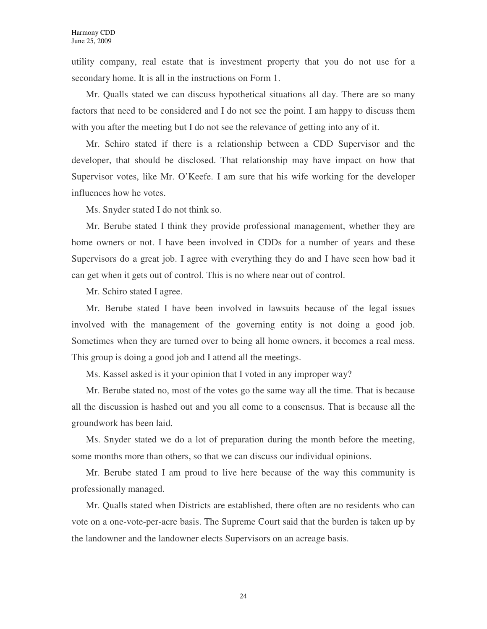utility company, real estate that is investment property that you do not use for a secondary home. It is all in the instructions on Form 1.

Mr. Qualls stated we can discuss hypothetical situations all day. There are so many factors that need to be considered and I do not see the point. I am happy to discuss them with you after the meeting but I do not see the relevance of getting into any of it.

Mr. Schiro stated if there is a relationship between a CDD Supervisor and the developer, that should be disclosed. That relationship may have impact on how that Supervisor votes, like Mr. O'Keefe. I am sure that his wife working for the developer influences how he votes.

Ms. Snyder stated I do not think so.

Mr. Berube stated I think they provide professional management, whether they are home owners or not. I have been involved in CDDs for a number of years and these Supervisors do a great job. I agree with everything they do and I have seen how bad it can get when it gets out of control. This is no where near out of control.

Mr. Schiro stated I agree.

Mr. Berube stated I have been involved in lawsuits because of the legal issues involved with the management of the governing entity is not doing a good job. Sometimes when they are turned over to being all home owners, it becomes a real mess. This group is doing a good job and I attend all the meetings.

Ms. Kassel asked is it your opinion that I voted in any improper way?

Mr. Berube stated no, most of the votes go the same way all the time. That is because all the discussion is hashed out and you all come to a consensus. That is because all the groundwork has been laid.

Ms. Snyder stated we do a lot of preparation during the month before the meeting, some months more than others, so that we can discuss our individual opinions.

Mr. Berube stated I am proud to live here because of the way this community is professionally managed.

Mr. Qualls stated when Districts are established, there often are no residents who can vote on a one-vote-per-acre basis. The Supreme Court said that the burden is taken up by the landowner and the landowner elects Supervisors on an acreage basis.